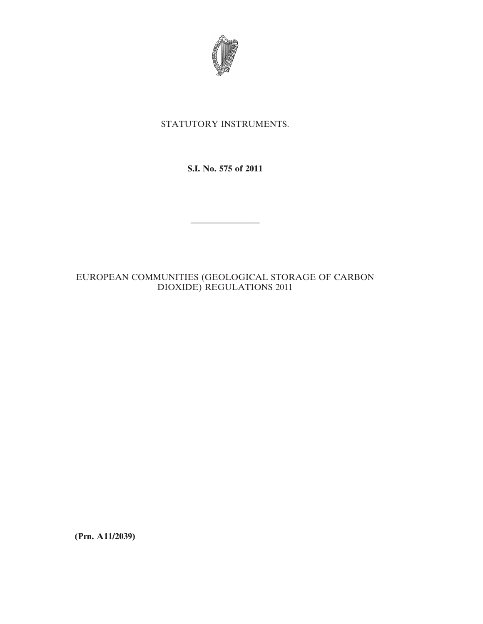

# STATUTORY INSTRUMENTS.

**S.I. No. 575 of 2011**

————————

# EUROPEAN COMMUNITIES (GEOLOGICAL STORAGE OF CARBON DIOXIDE) REGULATIONS 2011

**(Prn. A11/2039)**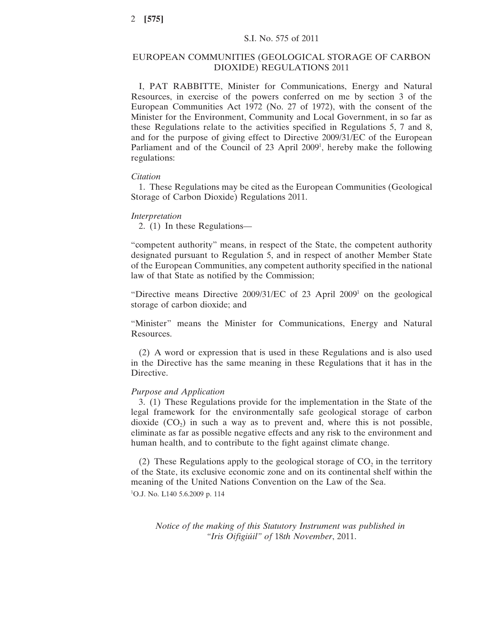# EUROPEAN COMMUNITIES (GEOLOGICAL STORAGE OF CARBON DIOXIDE) REGULATIONS 2011

I, PAT RABBITTE, Minister for Communications, Energy and Natural Resources, in exercise of the powers conferred on me by section 3 of the European Communities Act 1972 (No. 27 of 1972), with the consent of the Minister for the Environment, Community and Local Government, in so far as these Regulations relate to the activities specified in Regulations 5, 7 and 8, and for the purpose of giving effect to Directive 2009/31/EC of the European Parliament and of the Council of 23 April 2009<sup>1</sup>, hereby make the following regulations:

### *Citation*

1. These Regulations may be cited as the European Communities (Geological Storage of Carbon Dioxide) Regulations 2011.

#### *Interpretation*

2. (1) In these Regulations—

"competent authority" means, in respect of the State, the competent authority designated pursuant to Regulation 5, and in respect of another Member State of the European Communities, any competent authority specified in the national law of that State as notified by the Commission;

"Directive means Directive 2009/31/EC of 23 April 2009<sup>1</sup> on the geological storage of carbon dioxide; and

"Minister" means the Minister for Communications, Energy and Natural Resources.

(2) A word or expression that is used in these Regulations and is also used in the Directive has the same meaning in these Regulations that it has in the Directive.

## *Purpose and Application*

3. (1) These Regulations provide for the implementation in the State of the legal framework for the environmentally safe geological storage of carbon dioxide  $(CO<sub>2</sub>)$  in such a way as to prevent and, where this is not possible, eliminate as far as possible negative effects and any risk to the environment and human health, and to contribute to the fight against climate change.

(2) These Regulations apply to the geological storage of  $CO<sub>2</sub>$  in the territory of the State, its exclusive economic zone and on its continental shelf within the meaning of the United Nations Convention on the Law of the Sea. 1 O.J. No. L140 5.6.2009 p. 114

*Notice of the making of this Statutory Instrument was published in "Iris Oifigiúil" of* 18*th November*, 2011.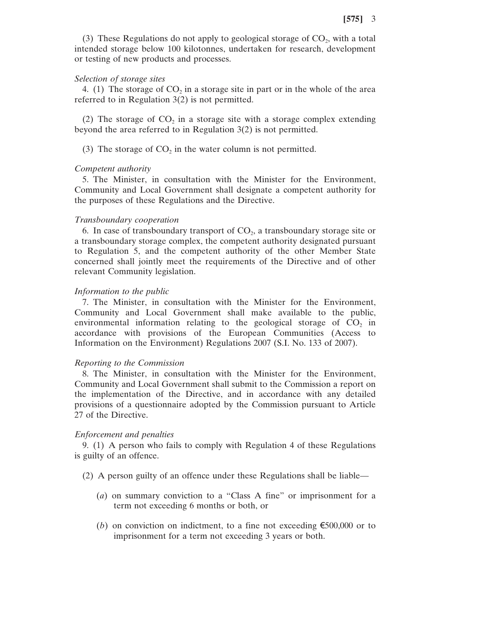(3) These Regulations do not apply to geological storage of  $CO<sub>2</sub>$ , with a total intended storage below 100 kilotonnes, undertaken for research, development or testing of new products and processes.

#### *Selection of storage sites*

4. (1) The storage of  $CO<sub>2</sub>$  in a storage site in part or in the whole of the area referred to in Regulation 3(2) is not permitted.

(2) The storage of  $CO<sub>2</sub>$  in a storage site with a storage complex extending beyond the area referred to in Regulation 3(2) is not permitted.

(3) The storage of  $CO<sub>2</sub>$  in the water column is not permitted.

## *Competent authority*

5. The Minister, in consultation with the Minister for the Environment, Community and Local Government shall designate a competent authority for the purposes of these Regulations and the Directive.

#### *Transboundary cooperation*

6. In case of transboundary transport of  $CO<sub>2</sub>$ , a transboundary storage site or a transboundary storage complex, the competent authority designated pursuant to Regulation 5, and the competent authority of the other Member State concerned shall jointly meet the requirements of the Directive and of other relevant Community legislation.

## *Information to the public*

7. The Minister, in consultation with the Minister for the Environment, Community and Local Government shall make available to the public, environmental information relating to the geological storage of  $CO<sub>2</sub>$  in accordance with provisions of the European Communities (Access to Information on the Environment) Regulations 2007 (S.I. No. 133 of 2007).

#### *Reporting to the Commission*

8. The Minister, in consultation with the Minister for the Environment, Community and Local Government shall submit to the Commission a report on the implementation of the Directive, and in accordance with any detailed provisions of a questionnaire adopted by the Commission pursuant to Article 27 of the Directive.

#### *Enforcement and penalties*

9. (1) A person who fails to comply with Regulation 4 of these Regulations is guilty of an offence.

- (2) A person guilty of an offence under these Regulations shall be liable—
	- (*a*) on summary conviction to a "Class A fine" or imprisonment for a term not exceeding 6 months or both, or
	- (*b*) on conviction on indictment, to a fine not exceeding  $\epsilon$ 500,000 or to imprisonment for a term not exceeding 3 years or both.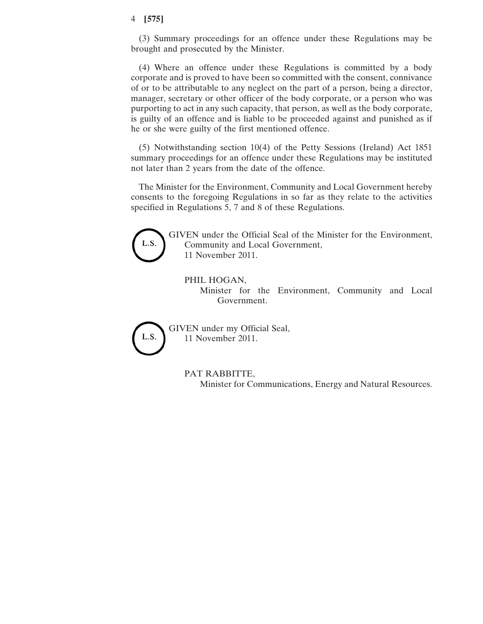## 4 **[575]**

(3) Summary proceedings for an offence under these Regulations may be brought and prosecuted by the Minister.

(4) Where an offence under these Regulations is committed by a body corporate and is proved to have been so committed with the consent, connivance of or to be attributable to any neglect on the part of a person, being a director, manager, secretary or other officer of the body corporate, or a person who was purporting to act in any such capacity, that person, as well as the body corporate, is guilty of an offence and is liable to be proceeded against and punished as if he or she were guilty of the first mentioned offence.

(5) Notwithstanding section 10(4) of the Petty Sessions (Ireland) Act 1851 summary proceedings for an offence under these Regulations may be instituted not later than 2 years from the date of the offence.

The Minister for the Environment, Community and Local Government hereby consents to the foregoing Regulations in so far as they relate to the activities specified in Regulations 5, 7 and 8 of these Regulations.



GIVEN under the Official Seal of the Minister for the Environment, Community and Local Government, 11 November 2011.

## PHIL HOGAN,

Minister for the Environment, Community and Local Government.



GIVEN under my Official Seal, 11 November 2011.

> PAT RABBITTE, Minister for Communications, Energy and Natural Resources.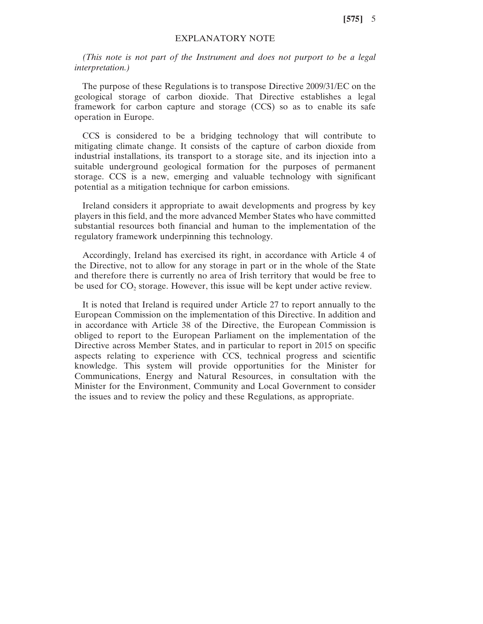**[575]** 5

# EXPLANATORY NOTE

*(This note is not part of the Instrument and does not purport to be a legal interpretation.)*

The purpose of these Regulations is to transpose Directive 2009/31/EC on the geological storage of carbon dioxide. That Directive establishes a legal framework for carbon capture and storage (CCS) so as to enable its safe operation in Europe.

CCS is considered to be a bridging technology that will contribute to mitigating climate change. It consists of the capture of carbon dioxide from industrial installations, its transport to a storage site, and its injection into a suitable underground geological formation for the purposes of permanent storage. CCS is a new, emerging and valuable technology with significant potential as a mitigation technique for carbon emissions.

Ireland considers it appropriate to await developments and progress by key players in this field, and the more advanced Member States who have committed substantial resources both financial and human to the implementation of the regulatory framework underpinning this technology.

Accordingly, Ireland has exercised its right, in accordance with Article 4 of the Directive, not to allow for any storage in part or in the whole of the State and therefore there is currently no area of Irish territory that would be free to be used for  $CO<sub>2</sub>$  storage. However, this issue will be kept under active review.

It is noted that Ireland is required under Article 27 to report annually to the European Commission on the implementation of this Directive. In addition and in accordance with Article 38 of the Directive, the European Commission is obliged to report to the European Parliament on the implementation of the Directive across Member States, and in particular to report in 2015 on specific aspects relating to experience with CCS, technical progress and scientific knowledge. This system will provide opportunities for the Minister for Communications, Energy and Natural Resources, in consultation with the Minister for the Environment, Community and Local Government to consider the issues and to review the policy and these Regulations, as appropriate.